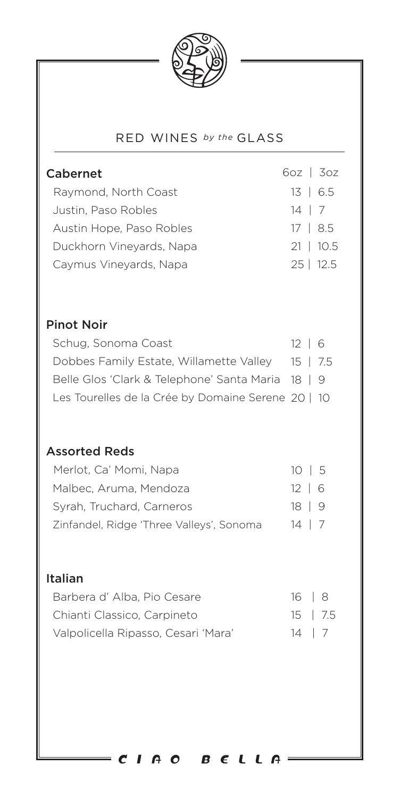

## RED WINES *by the* GLASS

| Cabernet<br>Raymond, North Coast<br>Justin, Paso Robles<br>Austin Hope, Paso Robles<br>Duckhorn Vineyards, Napa<br>Caymus Vineyards, Napa                                                         | $60z$   $30z$<br>$13 \mid 6.5$<br>$14 \mid 7$<br>17   8.5<br>$21 \mid 10.5$<br>$25$   12.5 |
|---------------------------------------------------------------------------------------------------------------------------------------------------------------------------------------------------|--------------------------------------------------------------------------------------------|
| <b>Pinot Noir</b><br>Schug, Sonoma Coast<br>Dobbes Family Estate, Willamette Valley 15  <br>Belle Glos 'Clark & Telephone' Santa Maria 18  <br>Les Tourelles de la Crée by Domaine Serene 20   10 | $12 \mid 6$<br>7.5<br>9                                                                    |
| <b>Assorted Reds</b><br>Merlot, Ca' Momi, Napa<br>Malbec, Aruma, Mendoza<br>Syrah, Truchard, Carneros<br>Zinfandel, Ridge 'Three Valleys', Sonoma                                                 | $10 \mid 5$<br>$12 \mid$<br>6<br>$18 \mid$<br>9<br>14<br>7                                 |
| Italian<br>Barbera d'Alba, Pio Cesare<br>Chianti Classico, Carpineto<br>Valpolicella Ripasso, Cesari 'Mara'                                                                                       | 16<br>8<br>15   7.5<br>$14 \mid 7$                                                         |
| CIAO BELLA                                                                                                                                                                                        |                                                                                            |